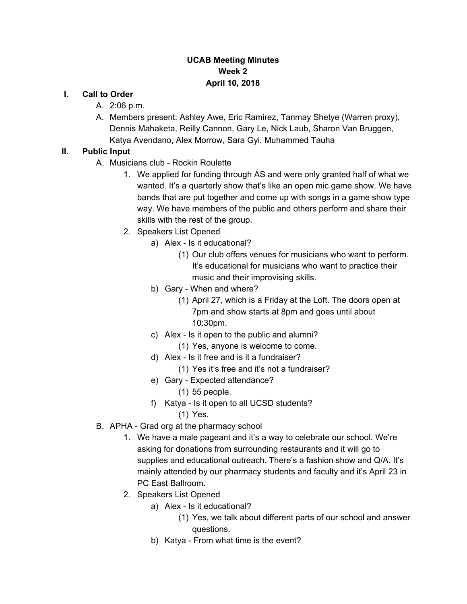#### **UCAB Meeting Minutes Week 2 April 10, 2018**

#### **I. Call to Order**

- A. 2:06 p.m.
- A. Members present: Ashley Awe, Eric Ramirez, Tanmay Shetye (Warren proxy), Dennis Mahaketa, Reilly Cannon, Gary Le, Nick Laub, Sharon Van Bruggen, Katya Avendano, Alex Morrow, Sara Gyi, Muhammed Tauha

#### **II. Public Input**

- A. Musicians club Rockin Roulette
	- 1. We applied for funding through AS and were only granted half of what we wanted. It's a quarterly show that's like an open mic game show. We have bands that are put together and come up with songs in a game show type way. We have members of the public and others perform and share their skills with the rest of the group.
	- 2. Speakers List Opened
		- a) Alex Is it educational?
			- (1) Our club offers venues for musicians who want to perform. It's educational for musicians who want to practice their music and their improvising skills.
		- b) Gary When and where?
			- (1) April 27, which is a Friday at the Loft. The doors open at 7pm and show starts at 8pm and goes until about 10:30pm.
		- c) Alex Is it open to the public and alumni?
			- (1) Yes, anyone is welcome to come.
		- d) Alex Is it free and is it a fundraiser?
			- (1) Yes it's free and it's not a fundraiser?
		- e) Gary Expected attendance?
			- (1) 55 people.
		- f) Katya Is it open to all UCSD students?
			- (1) Yes.
- B. APHA Grad org at the pharmacy school
	- 1. We have a male pageant and it's a way to celebrate our school. We're asking for donations from surrounding restaurants and it will go to supplies and educational outreach. There's a fashion show and Q/A. It's mainly attended by our pharmacy students and faculty and it's April 23 in PC East Ballroom.
	- 2. Speakers List Opened
		- a) Alex Is it educational?
			- (1) Yes, we talk about different parts of our school and answer questions.
		- b) Katya From what time is the event?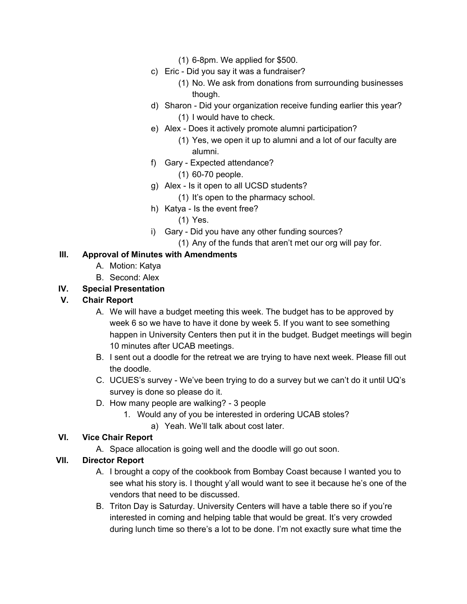- (1) 6-8pm. We applied for \$500.
- c) Eric Did you say it was a fundraiser?
	- (1) No. We ask from donations from surrounding businesses though.
- d) Sharon Did your organization receive funding earlier this year? (1) I would have to check.
- e) Alex Does it actively promote alumni participation?
	- (1) Yes, we open it up to alumni and a lot of our faculty are alumni.
- f) Gary Expected attendance?
	- (1) 60-70 people.
- g) Alex Is it open to all UCSD students?

(1) It's open to the pharmacy school.

- h) Katya Is the event free?
	- (1) Yes.
- i) Gary Did you have any other funding sources?
	- (1) Any of the funds that aren't met our org will pay for.

#### **III. Approval of Minutes with Amendments**

- A. Motion: Katya
- B. Second: Alex

# **IV. Special Presentation**

### **V. Chair Report**

- A. We will have a budget meeting this week. The budget has to be approved by week 6 so we have to have it done by week 5. If you want to see something happen in University Centers then put it in the budget. Budget meetings will begin 10 minutes after UCAB meetings.
- B. I sent out a doodle for the retreat we are trying to have next week. Please fill out the doodle.
- C. UCUES's survey We've been trying to do a survey but we can't do it until UQ's survey is done so please do it.
- D. How many people are walking? 3 people
	- 1. Would any of you be interested in ordering UCAB stoles?
		- a) Yeah. We'll talk about cost later.

### **VI. Vice Chair Report**

A. Space allocation is going well and the doodle will go out soon.

### **VII. Director Report**

- A. I brought a copy of the cookbook from Bombay Coast because I wanted you to see what his story is. I thought y'all would want to see it because he's one of the vendors that need to be discussed.
- B. Triton Day is Saturday. University Centers will have a table there so if you're interested in coming and helping table that would be great. It's very crowded during lunch time so there's a lot to be done. I'm not exactly sure what time the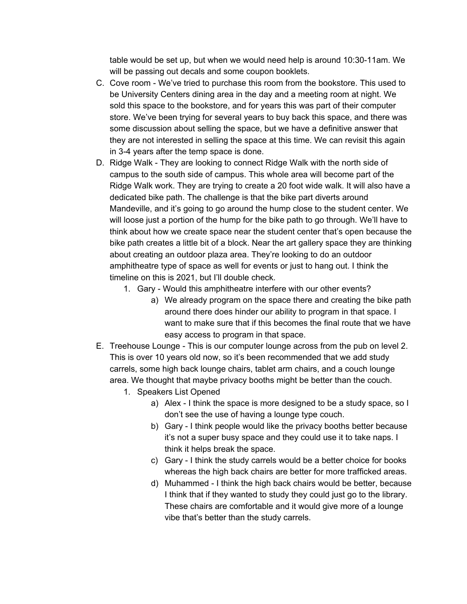table would be set up, but when we would need help is around 10:30-11am. We will be passing out decals and some coupon booklets.

- C. Cove room We've tried to purchase this room from the bookstore. This used to be University Centers dining area in the day and a meeting room at night. We sold this space to the bookstore, and for years this was part of their computer store. We've been trying for several years to buy back this space, and there was some discussion about selling the space, but we have a definitive answer that they are not interested in selling the space at this time. We can revisit this again in 3-4 years after the temp space is done.
- D. Ridge Walk They are looking to connect Ridge Walk with the north side of campus to the south side of campus. This whole area will become part of the Ridge Walk work. They are trying to create a 20 foot wide walk. It will also have a dedicated bike path. The challenge is that the bike part diverts around Mandeville, and it's going to go around the hump close to the student center. We will loose just a portion of the hump for the bike path to go through. We'll have to think about how we create space near the student center that's open because the bike path creates a little bit of a block. Near the art gallery space they are thinking about creating an outdoor plaza area. They're looking to do an outdoor amphitheatre type of space as well for events or just to hang out. I think the timeline on this is 2021, but I'll double check.
	- 1. Gary Would this amphitheatre interfere with our other events?
		- a) We already program on the space there and creating the bike path around there does hinder our ability to program in that space. I want to make sure that if this becomes the final route that we have easy access to program in that space.
- E. Treehouse Lounge This is our computer lounge across from the pub on level 2. This is over 10 years old now, so it's been recommended that we add study carrels, some high back lounge chairs, tablet arm chairs, and a couch lounge area. We thought that maybe privacy booths might be better than the couch.
	- 1. Speakers List Opened
		- a) Alex I think the space is more designed to be a study space, so I don't see the use of having a lounge type couch.
		- b) Gary I think people would like the privacy booths better because it's not a super busy space and they could use it to take naps. I think it helps break the space.
		- c) Gary I think the study carrels would be a better choice for books whereas the high back chairs are better for more trafficked areas.
		- d) Muhammed I think the high back chairs would be better, because I think that if they wanted to study they could just go to the library. These chairs are comfortable and it would give more of a lounge vibe that's better than the study carrels.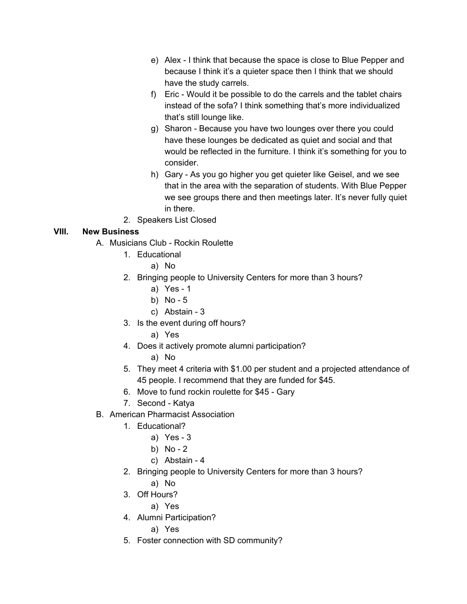- e) Alex I think that because the space is close to Blue Pepper and because I think it's a quieter space then I think that we should have the study carrels.
- f) Eric Would it be possible to do the carrels and the tablet chairs instead of the sofa? I think something that's more individualized that's still lounge like.
- g) Sharon Because you have two lounges over there you could have these lounges be dedicated as quiet and social and that would be reflected in the furniture. I think it's something for you to consider.
- h) Gary As you go higher you get quieter like Geisel, and we see that in the area with the separation of students. With Blue Pepper we see groups there and then meetings later. It's never fully quiet in there.
- 2. Speakers List Closed

# **VIII. New Business**

- A. Musicians Club Rockin Roulette
	- 1. Educational
		- a) No
	- 2. Bringing people to University Centers for more than 3 hours?
		- a) Yes 1
		- b) No 5
		- c) Abstain 3
	- 3. Is the event during off hours?
		- a) Yes
	- 4. Does it actively promote alumni participation?
		- a) No
	- 5. They meet 4 criteria with \$1.00 per student and a projected attendance of 45 people. I recommend that they are funded for \$45.
	- 6. Move to fund rockin roulette for \$45 Gary
	- 7. Second Katya
- B. American Pharmacist Association
	- 1. Educational?
		- a) Yes 3
		- b) No 2
		- c) Abstain 4
	- 2. Bringing people to University Centers for more than 3 hours?
		- a) No
	- 3. Off Hours?
		- a) Yes
	- 4. Alumni Participation?
		- a) Yes
	- 5. Foster connection with SD community?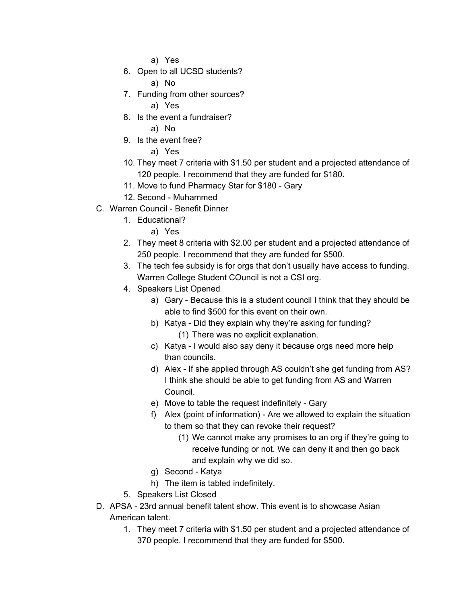a) Yes

6. Open to all UCSD students?

a) No

- 7. Funding from other sources?
	- a) Yes
- 8. Is the event a fundraiser?

a) No

9. Is the event free?

a) Yes

- 10. They meet 7 criteria with \$1.50 per student and a projected attendance of 120 people. I recommend that they are funded for \$180.
- 11. Move to fund Pharmacy Star for \$180 Gary
- 12. Second Muhammed
- C. Warren Council Benefit Dinner
	- 1. Educational?
		- a) Yes
	- 2. They meet 8 criteria with \$2.00 per student and a projected attendance of 250 people. I recommend that they are funded for \$500.
	- 3. The tech fee subsidy is for orgs that don't usually have access to funding. Warren College Student COuncil is not a CSI org.
	- 4. Speakers List Opened
		- a) Gary Because this is a student council I think that they should be able to find \$500 for this event on their own.
		- b) Katya Did they explain why they're asking for funding? (1) There was no explicit explanation.
		- c) Katya I would also say deny it because orgs need more help than councils.
		- d) Alex If she applied through AS couldn't she get funding from AS? I think she should be able to get funding from AS and Warren Council.
		- e) Move to table the request indefinitely Gary
		- f) Alex (point of information) Are we allowed to explain the situation to them so that they can revoke their request?
			- (1) We cannot make any promises to an org if they're going to receive funding or not. We can deny it and then go back and explain why we did so.
		- g) Second Katya
		- h) The item is tabled indefinitely.
	- 5. Speakers List Closed
- D. APSA 23rd annual benefit talent show. This event is to showcase Asian American talent.
	- 1. They meet 7 criteria with \$1.50 per student and a projected attendance of 370 people. I recommend that they are funded for \$500.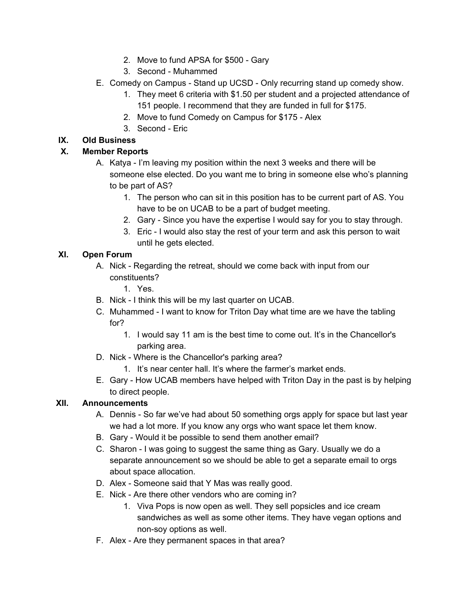- 2. Move to fund APSA for \$500 Gary
- 3. Second Muhammed
- E. Comedy on Campus Stand up UCSD Only recurring stand up comedy show.
	- 1. They meet 6 criteria with \$1.50 per student and a projected attendance of 151 people. I recommend that they are funded in full for \$175.
	- 2. Move to fund Comedy on Campus for \$175 Alex
	- 3. Second Eric

## **IX. Old Business**

## **X. Member Reports**

- A. Katya I'm leaving my position within the next 3 weeks and there will be someone else elected. Do you want me to bring in someone else who's planning to be part of AS?
	- 1. The person who can sit in this position has to be current part of AS. You have to be on UCAB to be a part of budget meeting.
	- 2. Gary Since you have the expertise I would say for you to stay through.
	- 3. Eric I would also stay the rest of your term and ask this person to wait until he gets elected.

### **XI. Open Forum**

- A. Nick Regarding the retreat, should we come back with input from our constituents?
	- 1. Yes.
- B. Nick I think this will be my last quarter on UCAB.
- C. Muhammed I want to know for Triton Day what time are we have the tabling for?
	- 1. I would say 11 am is the best time to come out. It's in the Chancellor's parking area.
- D. Nick Where is the Chancellor's parking area?
	- 1. It's near center hall. It's where the farmer's market ends.
- E. Gary How UCAB members have helped with Triton Day in the past is by helping to direct people.

### **XII. Announcements**

- A. Dennis So far we've had about 50 something orgs apply for space but last year we had a lot more. If you know any orgs who want space let them know.
- B. Gary Would it be possible to send them another email?
- C. Sharon I was going to suggest the same thing as Gary. Usually we do a separate announcement so we should be able to get a separate email to orgs about space allocation.
- D. Alex Someone said that Y Mas was really good.
- E. Nick Are there other vendors who are coming in?
	- 1. Viva Pops is now open as well. They sell popsicles and ice cream sandwiches as well as some other items. They have vegan options and non-soy options as well.
- F. Alex Are they permanent spaces in that area?